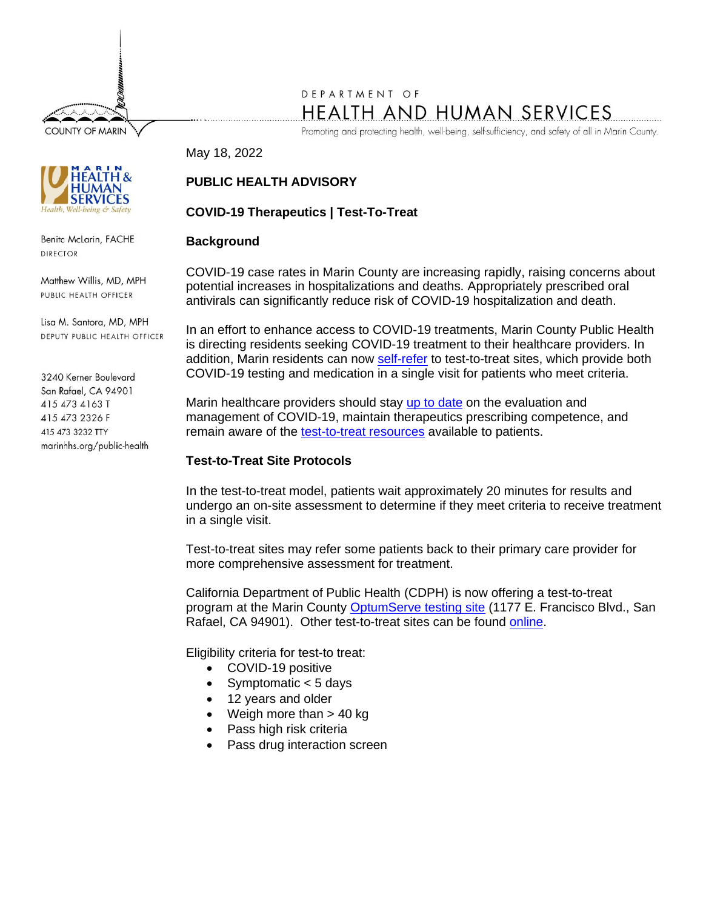**COUNTY OF MARIN** 

# DEPARTMENT OF HEALTH AND HUMAN SERVICES

Promoting and protecting health, well-being, self-sufficiency, and safety of all in Marin County.

May 18, 2022

Benita McLarin, FACHE **DIRECTOR** 

Matthew Willis, MD, MPH PUBLIC HEALTH OFFICER

Lisa M. Santora, MD, MPH DEPUTY PUBLIC HEALTH OFFICER

3240 Kerner Boulevard San Rafael, CA 94901 415 473 4163 T 415 473 2326 F 415 473 3232 TTY marinhhs.org/public-health

# **PUBLIC HEALTH ADVISORY**

# **COVID-19 Therapeutics | Test-To-Treat**

## **Background**

COVID-19 case rates in Marin County are increasing rapidly, raising concerns about potential increases in hospitalizations and deaths. Appropriately prescribed oral antivirals can significantly reduce risk of COVID-19 hospitalization and death.

In an effort to enhance access to COVID-19 treatments, Marin County Public Health is directing residents seeking COVID-19 treatment to their healthcare providers. In addition, Marin residents can now [self-refer](https://coronavirus.marinhhs.org/TestToTreat) to test-to-treat sites, which provide both COVID-19 testing and medication in a single visit for patients who meet criteria.

Marin healthcare providers should stay [up to date](https://www.uptodate.com/contents/covid-19-outpatient-evaluation-and-management-of-acute-illness-in-adults) on the evaluation and management of COVID-19, maintain therapeutics prescribing competence, and remain aware of the [test-to-treat resources](https://coronavirus.marinhhs.org/TestToTreat) available to patients.

## **Test-to-Treat Site Protocols**

In the test-to-treat model, patients wait approximately 20 minutes for results and undergo an on-site assessment to determine if they meet criteria to receive treatment in a single visit.

Test-to-treat sites may refer some patients back to their primary care provider for more comprehensive assessment for treatment.

California Department of Public Health (CDPH) is now offering a test-to-treat program at the Marin County [OptumServe testing site](https://lhi.care/covidtesting/open-sessions/1982485028) (1177 E. Francisco Blvd., San Rafael, CA 94901). Other test-to-treat sites can be found [online.](https://covid-19-therapeutics-locator-dhhs.hub.arcgis.com/)

Eligibility criteria for test-to treat:

- COVID-19 positive
- Symptomatic < 5 days
- 12 years and older
- Weigh more than  $> 40$  kg
- Pass high risk criteria
- Pass drug interaction screen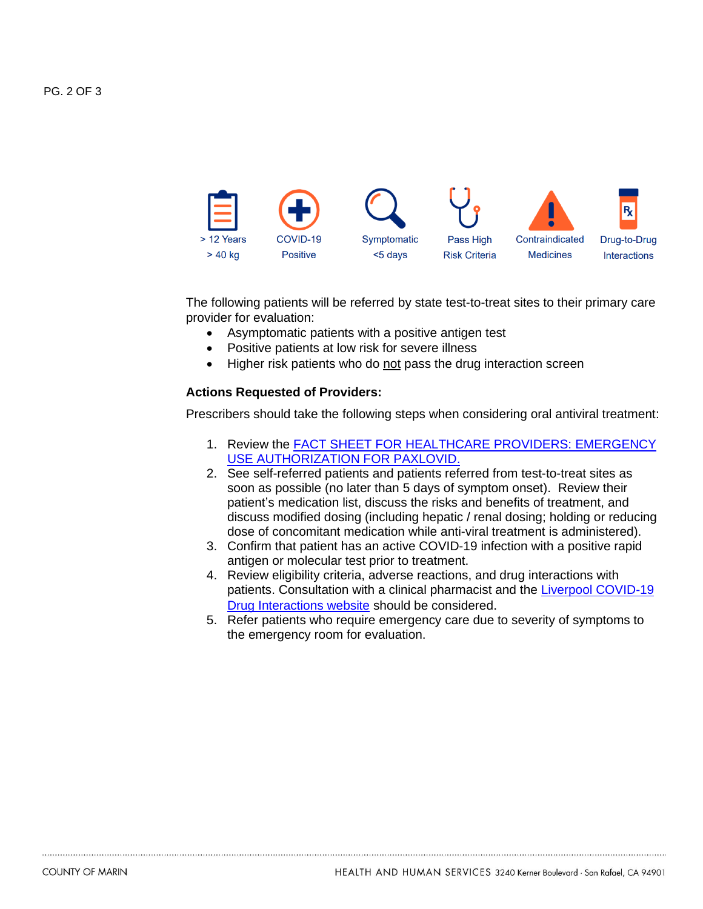

The following patients will be referred by state test-to-treat sites to their primary care provider for evaluation:

- Asymptomatic patients with a positive antigen test
- Positive patients at low risk for severe illness
- Higher risk patients who do not pass the drug interaction screen

#### **Actions Requested of Providers:**

Prescribers should take the following steps when considering oral antiviral treatment:

- 1. Review the FACT SHEET FOR HEALTHCARE PROVIDERS: EMERGENCY [USE AUTHORIZATION FOR PAXLOVID.](https://www.fda.gov/media/155050/download)
- 2. See self-referred patients and patients referred from test-to-treat sites as soon as possible (no later than 5 days of symptom onset). Review their patient's medication list, discuss the risks and benefits of treatment, and discuss modified dosing (including hepatic / renal dosing; holding or reducing dose of concomitant medication while anti-viral treatment is administered).
- 3. Confirm that patient has an active COVID-19 infection with a positive rapid antigen or molecular test prior to treatment.
- 4. Review eligibility criteria, adverse reactions, and drug interactions with patients. Consultation with a clinical pharmacist and the Liverpool COVID-19 [Drug Interactions website](https://www.covid19-druginteractions.org/) should be considered.
- 5. Refer patients who require emergency care due to severity of symptoms to the emergency room for evaluation.